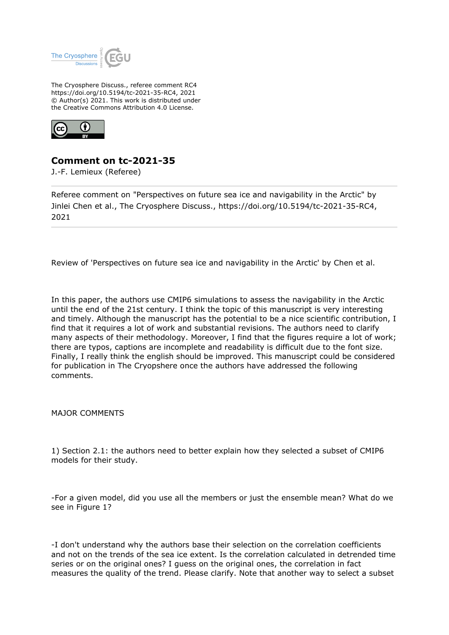

The Cryosphere Discuss., referee comment RC4 https://doi.org/10.5194/tc-2021-35-RC4, 2021 © Author(s) 2021. This work is distributed under the Creative Commons Attribution 4.0 License.



## **Comment on tc-2021-35**

J.-F. Lemieux (Referee)

Referee comment on "Perspectives on future sea ice and navigability in the Arctic" by Jinlei Chen et al., The Cryosphere Discuss., https://doi.org/10.5194/tc-2021-35-RC4, 2021

Review of 'Perspectives on future sea ice and navigability in the Arctic' by Chen et al.

In this paper, the authors use CMIP6 simulations to assess the navigability in the Arctic until the end of the 21st century. I think the topic of this manuscript is very interesting and timely. Although the manuscript has the potential to be a nice scientific contribution, I find that it requires a lot of work and substantial revisions. The authors need to clarify many aspects of their methodology. Moreover, I find that the figures require a lot of work; there are typos, captions are incomplete and readability is difficult due to the font size. Finally, I really think the english should be improved. This manuscript could be considered for publication in The Cryopshere once the authors have addressed the following comments.

MAJOR COMMENTS

1) Section 2.1: the authors need to better explain how they selected a subset of CMIP6 models for their study.

-For a given model, did you use all the members or just the ensemble mean? What do we see in Figure 1?

-I don't understand why the authors base their selection on the correlation coefficients and not on the trends of the sea ice extent. Is the correlation calculated in detrended time series or on the original ones? I guess on the original ones, the correlation in fact measures the quality of the trend. Please clarify. Note that another way to select a subset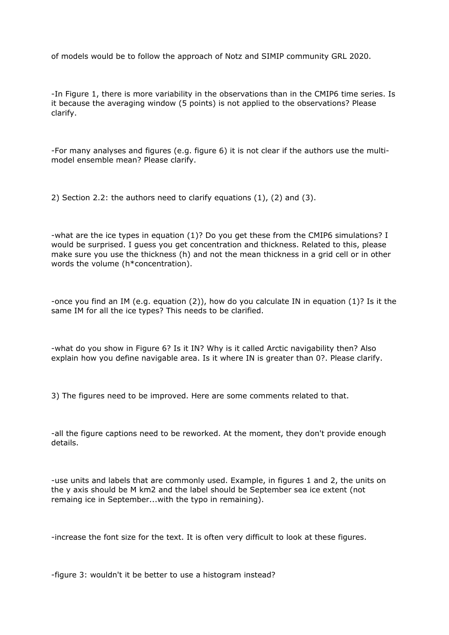of models would be to follow the approach of Notz and SIMIP community GRL 2020.

-In Figure 1, there is more variability in the observations than in the CMIP6 time series. Is it because the averaging window (5 points) is not applied to the observations? Please clarify.

-For many analyses and figures (e.g. figure 6) it is not clear if the authors use the multimodel ensemble mean? Please clarify.

2) Section 2.2: the authors need to clarify equations (1), (2) and (3).

-what are the ice types in equation (1)? Do you get these from the CMIP6 simulations? I would be surprised. I guess you get concentration and thickness. Related to this, please make sure you use the thickness (h) and not the mean thickness in a grid cell or in other words the volume (h\*concentration).

-once you find an IM (e.g. equation (2)), how do you calculate IN in equation (1)? Is it the same IM for all the ice types? This needs to be clarified.

-what do you show in Figure 6? Is it IN? Why is it called Arctic navigability then? Also explain how you define navigable area. Is it where IN is greater than 0?. Please clarify.

3) The figures need to be improved. Here are some comments related to that.

-all the figure captions need to be reworked. At the moment, they don't provide enough details.

-use units and labels that are commonly used. Example, in figures 1 and 2, the units on the y axis should be M km2 and the label should be September sea ice extent (not remaing ice in September...with the typo in remaining).

-increase the font size for the text. It is often very difficult to look at these figures.

-figure 3: wouldn't it be better to use a histogram instead?